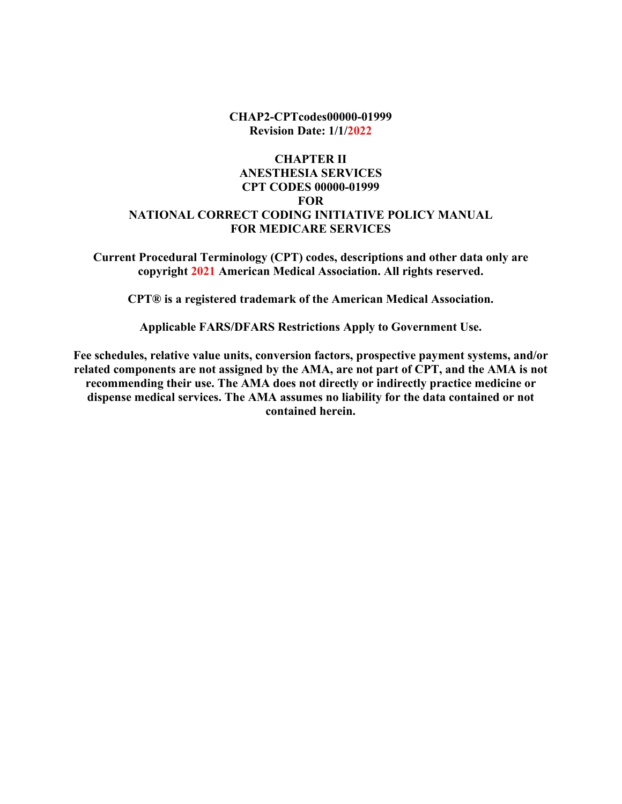#### **CHAP2-CPTcodes00000-01999 Revision Date: 1/1/2022**

## **CHAPTER II ANESTHESIA SERVICES CPT CODES 00000-01999 FOR NATIONAL CORRECT CODING INITIATIVE POLICY MANUAL FOR MEDICARE SERVICES**

**Current Procedural Terminology (CPT) codes, descriptions and other data only are copyright 2021 American Medical Association. All rights reserved.**

**CPT® is a registered trademark of the American Medical Association.**

**Applicable FARS/DFARS Restrictions Apply to Government Use.**

**Fee schedules, relative value units, conversion factors, prospective payment systems, and/or related components are not assigned by the AMA, are not part of CPT, and the AMA is not recommending their use. The AMA does not directly or indirectly practice medicine or dispense medical services. The AMA assumes no liability for the data contained or not contained herein.**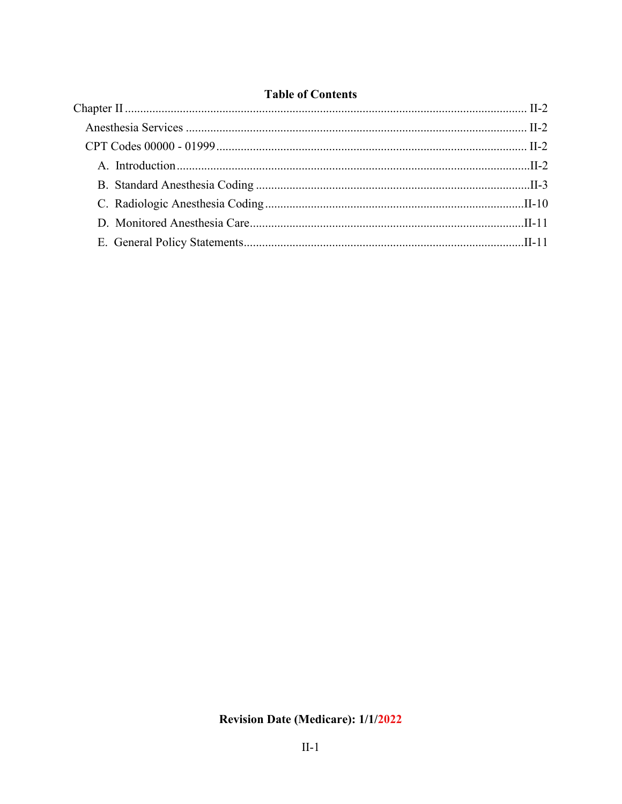# **Table of Contents**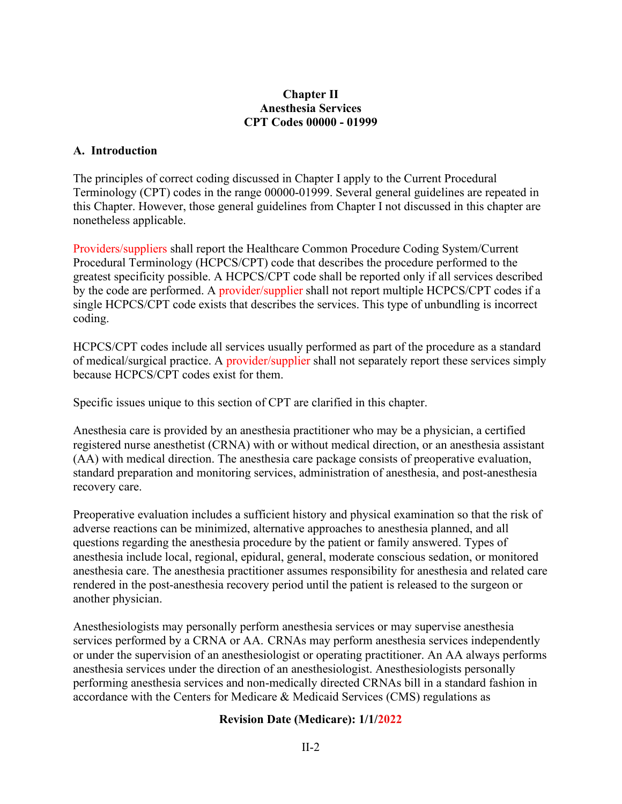## **Chapter II Anesthesia Services CPT Codes 00000 - 01999**

### <span id="page-2-3"></span><span id="page-2-2"></span><span id="page-2-1"></span><span id="page-2-0"></span>**A. Introduction**

The principles of correct coding discussed in Chapter I apply to the Current Procedural Terminology (CPT) codes in the range 00000-01999. Several general guidelines are repeated in this Chapter. However, those general guidelines from Chapter I not discussed in this chapter are nonetheless applicable.

Providers/suppliers shall report the Healthcare Common Procedure Coding System/Current Procedural Terminology (HCPCS/CPT) code that describes the procedure performed to the greatest specificity possible. A HCPCS/CPT code shall be reported only if all services described by the code are performed. A provider/supplier shall not report multiple HCPCS/CPT codes if a single HCPCS/CPT code exists that describes the services. This type of unbundling is incorrect coding.

HCPCS/CPT codes include all services usually performed as part of the procedure as a standard of medical/surgical practice. A provider/supplier shall not separately report these services simply because HCPCS/CPT codes exist for them.

Specific issues unique to this section of CPT are clarified in this chapter.

Anesthesia care is provided by an anesthesia practitioner who may be a physician, a certified registered nurse anesthetist (CRNA) with or without medical direction, or an anesthesia assistant (AA) with medical direction. The anesthesia care package consists of preoperative evaluation, standard preparation and monitoring services, administration of anesthesia, and post-anesthesia recovery care.

Preoperative evaluation includes a sufficient history and physical examination so that the risk of adverse reactions can be minimized, alternative approaches to anesthesia planned, and all questions regarding the anesthesia procedure by the patient or family answered. Types of anesthesia include local, regional, epidural, general, moderate conscious sedation, or monitored anesthesia care. The anesthesia practitioner assumes responsibility for anesthesia and related care rendered in the post-anesthesia recovery period until the patient is released to the surgeon or another physician.

Anesthesiologists may personally perform anesthesia services or may supervise anesthesia services performed by a CRNA or AA. CRNAs may perform anesthesia services independently or under the supervision of an anesthesiologist or operating practitioner. An AA always performs anesthesia services under the direction of an anesthesiologist. Anesthesiologists personally performing anesthesia services and non-medically directed CRNAs bill in a standard fashion in accordance with the Centers for Medicare & Medicaid Services (CMS) regulations as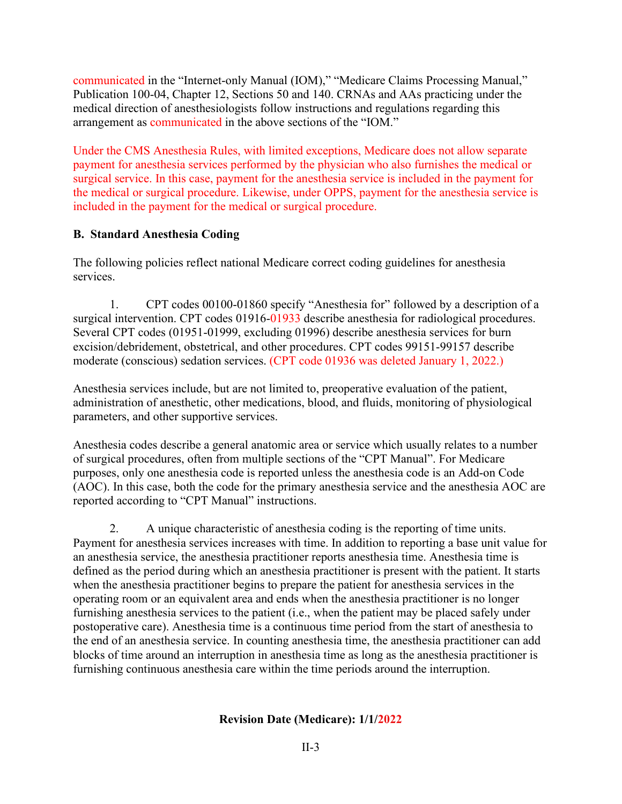communicated in the "Internet-only Manual (IOM)," "Medicare Claims Processing Manual," Publication 100-04, Chapter 12, Sections 50 and 140. CRNAs and AAs practicing under the medical direction of anesthesiologists follow instructions and regulations regarding this arrangement as communicated in the above sections of the "IOM."

Under the CMS Anesthesia Rules, with limited exceptions, Medicare does not allow separate payment for anesthesia services performed by the physician who also furnishes the medical or surgical service. In this case, payment for the anesthesia service is included in the payment for the medical or surgical procedure. Likewise, under OPPS, payment for the anesthesia service is included in the payment for the medical or surgical procedure.

## <span id="page-3-0"></span>**B. Standard Anesthesia Coding**

The following policies reflect national Medicare correct coding guidelines for anesthesia services.

1. CPT codes 00100-01860 specify "Anesthesia for" followed by a description of a surgical intervention. CPT codes 01916-01933 describe anesthesia for radiological procedures. Several CPT codes (01951-01999, excluding 01996) describe anesthesia services for burn excision/debridement, obstetrical, and other procedures. CPT codes 99151-99157 describe moderate (conscious) sedation services. (CPT code 01936 was deleted January 1, 2022.)

Anesthesia services include, but are not limited to, preoperative evaluation of the patient, administration of anesthetic, other medications, blood, and fluids, monitoring of physiological parameters, and other supportive services.

Anesthesia codes describe a general anatomic area or service which usually relates to a number of surgical procedures, often from multiple sections of the "CPT Manual". For Medicare purposes, only one anesthesia code is reported unless the anesthesia code is an Add-on Code (AOC). In this case, both the code for the primary anesthesia service and the anesthesia AOC are reported according to "CPT Manual" instructions.

2. A unique characteristic of anesthesia coding is the reporting of time units. Payment for anesthesia services increases with time. In addition to reporting a base unit value for an anesthesia service, the anesthesia practitioner reports anesthesia time. Anesthesia time is defined as the period during which an anesthesia practitioner is present with the patient. It starts when the anesthesia practitioner begins to prepare the patient for anesthesia services in the operating room or an equivalent area and ends when the anesthesia practitioner is no longer furnishing anesthesia services to the patient (i.e., when the patient may be placed safely under postoperative care). Anesthesia time is a continuous time period from the start of anesthesia to the end of an anesthesia service. In counting anesthesia time, the anesthesia practitioner can add blocks of time around an interruption in anesthesia time as long as the anesthesia practitioner is furnishing continuous anesthesia care within the time periods around the interruption.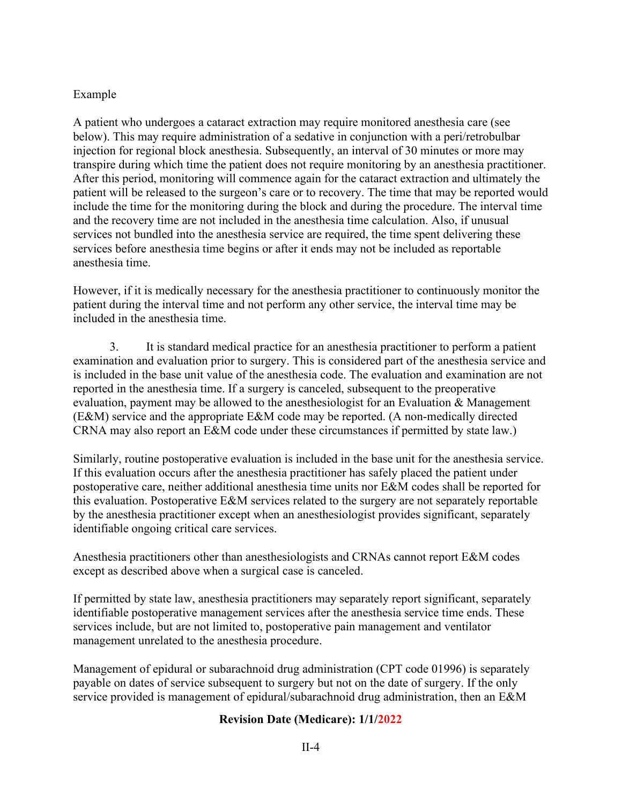## Example

A patient who undergoes a cataract extraction may require monitored anesthesia care (see below). This may require administration of a sedative in conjunction with a peri/retrobulbar injection for regional block anesthesia. Subsequently, an interval of 30 minutes or more may transpire during which time the patient does not require monitoring by an anesthesia practitioner. After this period, monitoring will commence again for the cataract extraction and ultimately the patient will be released to the surgeon's care or to recovery. The time that may be reported would include the time for the monitoring during the block and during the procedure. The interval time and the recovery time are not included in the anesthesia time calculation. Also, if unusual services not bundled into the anesthesia service are required, the time spent delivering these services before anesthesia time begins or after it ends may not be included as reportable anesthesia time.

However, if it is medically necessary for the anesthesia practitioner to continuously monitor the patient during the interval time and not perform any other service, the interval time may be included in the anesthesia time.

3. It is standard medical practice for an anesthesia practitioner to perform a patient examination and evaluation prior to surgery. This is considered part of the anesthesia service and is included in the base unit value of the anesthesia code. The evaluation and examination are not reported in the anesthesia time. If a surgery is canceled, subsequent to the preoperative evaluation, payment may be allowed to the anesthesiologist for an Evaluation & Management (E&M) service and the appropriate E&M code may be reported. (A non-medically directed CRNA may also report an E&M code under these circumstances if permitted by state law.)

Similarly, routine postoperative evaluation is included in the base unit for the anesthesia service. If this evaluation occurs after the anesthesia practitioner has safely placed the patient under postoperative care, neither additional anesthesia time units nor E&M codes shall be reported for this evaluation. Postoperative E&M services related to the surgery are not separately reportable by the anesthesia practitioner except when an anesthesiologist provides significant, separately identifiable ongoing critical care services.

Anesthesia practitioners other than anesthesiologists and CRNAs cannot report E&M codes except as described above when a surgical case is canceled.

If permitted by state law, anesthesia practitioners may separately report significant, separately identifiable postoperative management services after the anesthesia service time ends. These services include, but are not limited to, postoperative pain management and ventilator management unrelated to the anesthesia procedure.

Management of epidural or subarachnoid drug administration (CPT code 01996) is separately payable on dates of service subsequent to surgery but not on the date of surgery. If the only service provided is management of epidural/subarachnoid drug administration, then an E&M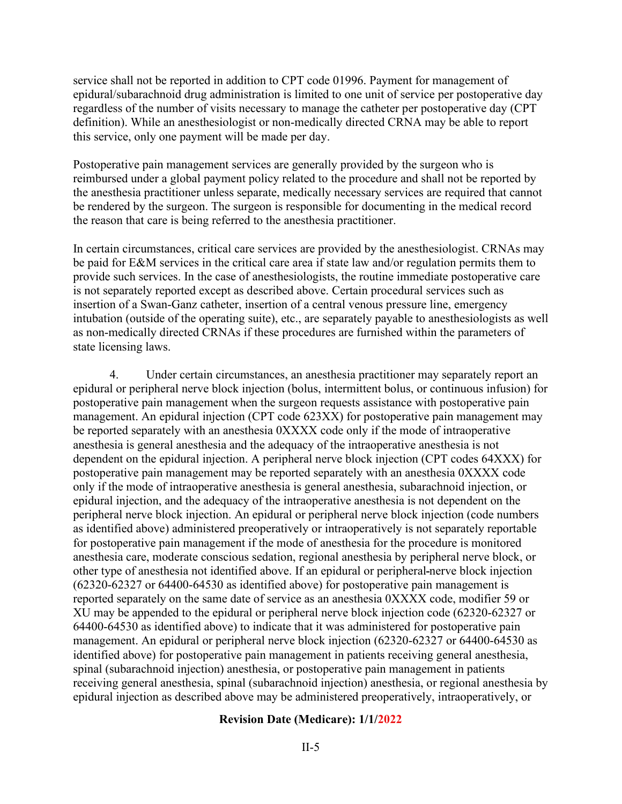service shall not be reported in addition to CPT code 01996. Payment for management of epidural/subarachnoid drug administration is limited to one unit of service per postoperative day regardless of the number of visits necessary to manage the catheter per postoperative day (CPT definition). While an anesthesiologist or non-medically directed CRNA may be able to report this service, only one payment will be made per day.

Postoperative pain management services are generally provided by the surgeon who is reimbursed under a global payment policy related to the procedure and shall not be reported by the anesthesia practitioner unless separate, medically necessary services are required that cannot be rendered by the surgeon. The surgeon is responsible for documenting in the medical record the reason that care is being referred to the anesthesia practitioner.

In certain circumstances, critical care services are provided by the anesthesiologist. CRNAs may be paid for E&M services in the critical care area if state law and/or regulation permits them to provide such services. In the case of anesthesiologists, the routine immediate postoperative care is not separately reported except as described above. Certain procedural services such as insertion of a Swan-Ganz catheter, insertion of a central venous pressure line, emergency intubation (outside of the operating suite), etc., are separately payable to anesthesiologists as well as non-medically directed CRNAs if these procedures are furnished within the parameters of state licensing laws.

4. Under certain circumstances, an anesthesia practitioner may separately report an epidural or peripheral nerve block injection (bolus, intermittent bolus, or continuous infusion) for postoperative pain management when the surgeon requests assistance with postoperative pain management. An epidural injection (CPT code 623XX) for postoperative pain management may be reported separately with an anesthesia 0XXXX code only if the mode of intraoperative anesthesia is general anesthesia and the adequacy of the intraoperative anesthesia is not dependent on the epidural injection. A peripheral nerve block injection (CPT codes 64XXX) for postoperative pain management may be reported separately with an anesthesia 0XXXX code only if the mode of intraoperative anesthesia is general anesthesia, subarachnoid injection, or epidural injection, and the adequacy of the intraoperative anesthesia is not dependent on the peripheral nerve block injection. An epidural or peripheral nerve block injection (code numbers as identified above) administered preoperatively or intraoperatively is not separately reportable for postoperative pain management if the mode of anesthesia for the procedure is monitored anesthesia care, moderate conscious sedation, regional anesthesia by peripheral nerve block, or other type of anesthesia not identified above. If an epidural or peripheral nerve block injection (62320-62327 or 64400-64530 as identified above) for postoperative pain management is reported separately on the same date of service as an anesthesia 0XXXX code, modifier 59 or XU may be appended to the epidural or peripheral nerve block injection code (62320-62327 or 64400-64530 as identified above) to indicate that it was administered for postoperative pain management. An epidural or peripheral nerve block injection (62320-62327 or 64400-64530 as identified above) for postoperative pain management in patients receiving general anesthesia, spinal (subarachnoid injection) anesthesia, or postoperative pain management in patients receiving general anesthesia, spinal (subarachnoid injection) anesthesia, or regional anesthesia by epidural injection as described above may be administered preoperatively, intraoperatively, or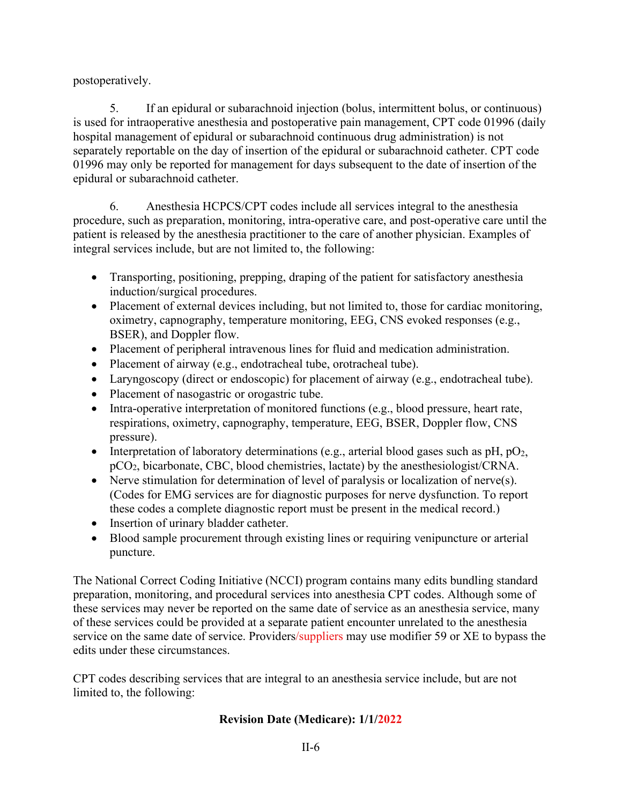postoperatively.

5. If an epidural or subarachnoid injection (bolus, intermittent bolus, or continuous) is used for intraoperative anesthesia and postoperative pain management, CPT code 01996 (daily hospital management of epidural or subarachnoid continuous drug administration) is not separately reportable on the day of insertion of the epidural or subarachnoid catheter. CPT code 01996 may only be reported for management for days subsequent to the date of insertion of the epidural or subarachnoid catheter.

6. Anesthesia HCPCS/CPT codes include all services integral to the anesthesia procedure, such as preparation, monitoring, intra-operative care, and post-operative care until the patient is released by the anesthesia practitioner to the care of another physician. Examples of integral services include, but are not limited to, the following:

- Transporting, positioning, prepping, draping of the patient for satisfactory anesthesia induction/surgical procedures.
- Placement of external devices including, but not limited to, those for cardiac monitoring, oximetry, capnography, temperature monitoring, EEG, CNS evoked responses (e.g., BSER), and Doppler flow.
- Placement of peripheral intravenous lines for fluid and medication administration.
- Placement of airway (e.g., endotracheal tube, orotracheal tube).
- Laryngoscopy (direct or endoscopic) for placement of airway (e.g., endotracheal tube).
- Placement of nasogastric or orogastric tube.
- Intra-operative interpretation of monitored functions (e.g., blood pressure, heart rate, respirations, oximetry, capnography, temperature, EEG, BSER, Doppler flow, CNS pressure).
- Interpretation of laboratory determinations (e.g., arterial blood gases such as  $pH$ ,  $pO_2$ , pCO2, bicarbonate, CBC, blood chemistries, lactate) by the anesthesiologist/CRNA.
- Nerve stimulation for determination of level of paralysis or localization of nerve(s). (Codes for EMG services are for diagnostic purposes for nerve dysfunction. To report these codes a complete diagnostic report must be present in the medical record.)
- Insertion of urinary bladder catheter.
- Blood sample procurement through existing lines or requiring venipuncture or arterial puncture.

The National Correct Coding Initiative (NCCI) program contains many edits bundling standard preparation, monitoring, and procedural services into anesthesia CPT codes. Although some of these services may never be reported on the same date of service as an anesthesia service, many of these services could be provided at a separate patient encounter unrelated to the anesthesia service on the same date of service. Providers/suppliers may use modifier 59 or XE to bypass the edits under these circumstances.

CPT codes describing services that are integral to an anesthesia service include, but are not limited to, the following: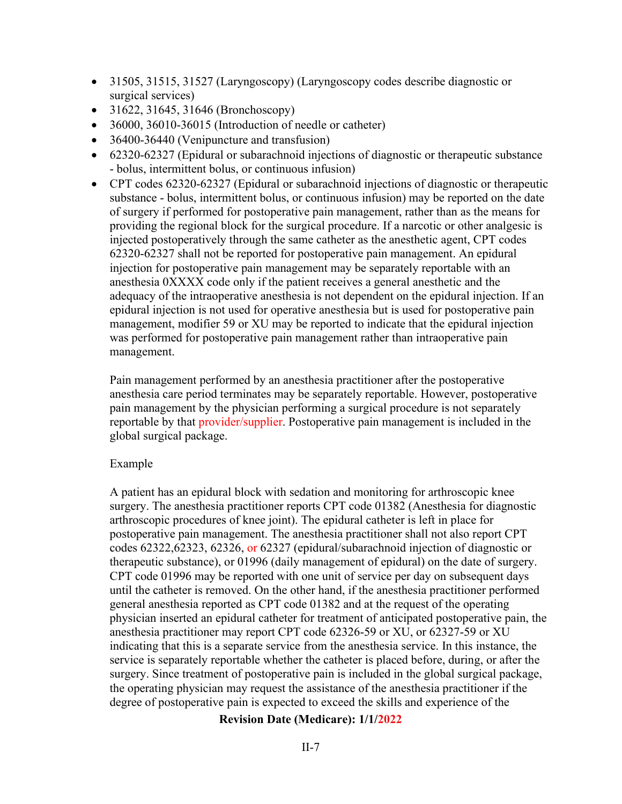- 31505, 31515, 31527 (Laryngoscopy) (Laryngoscopy codes describe diagnostic or surgical services)
- 31622, 31645, 31646 (Bronchoscopy)
- 36000, 36010-36015 (Introduction of needle or catheter)
- 36400-36440 (Venipuncture and transfusion)
- 62320-62327 (Epidural or subarachnoid injections of diagnostic or therapeutic substance - bolus, intermittent bolus, or continuous infusion)
- CPT codes 62320-62327 (Epidural or subarachnoid injections of diagnostic or therapeutic substance - bolus, intermittent bolus, or continuous infusion) may be reported on the date of surgery if performed for postoperative pain management, rather than as the means for providing the regional block for the surgical procedure. If a narcotic or other analgesic is injected postoperatively through the same catheter as the anesthetic agent, CPT codes 62320-62327 shall not be reported for postoperative pain management. An epidural injection for postoperative pain management may be separately reportable with an anesthesia 0XXXX code only if the patient receives a general anesthetic and the adequacy of the intraoperative anesthesia is not dependent on the epidural injection. If an epidural injection is not used for operative anesthesia but is used for postoperative pain management, modifier 59 or XU may be reported to indicate that the epidural injection was performed for postoperative pain management rather than intraoperative pain management.

Pain management performed by an anesthesia practitioner after the postoperative anesthesia care period terminates may be separately reportable. However, postoperative pain management by the physician performing a surgical procedure is not separately reportable by that provider/supplier. Postoperative pain management is included in the global surgical package.

#### Example

A patient has an epidural block with sedation and monitoring for arthroscopic knee surgery. The anesthesia practitioner reports CPT code 01382 (Anesthesia for diagnostic arthroscopic procedures of knee joint). The epidural catheter is left in place for postoperative pain management. The anesthesia practitioner shall not also report CPT codes 62322,62323, 62326, or 62327 (epidural/subarachnoid injection of diagnostic or therapeutic substance), or 01996 (daily management of epidural) on the date of surgery. CPT code 01996 may be reported with one unit of service per day on subsequent days until the catheter is removed. On the other hand, if the anesthesia practitioner performed general anesthesia reported as CPT code 01382 and at the request of the operating physician inserted an epidural catheter for treatment of anticipated postoperative pain, the anesthesia practitioner may report CPT code 62326-59 or XU, or 62327-59 or XU indicating that this is a separate service from the anesthesia service. In this instance, the service is separately reportable whether the catheter is placed before, during, or after the surgery. Since treatment of postoperative pain is included in the global surgical package, the operating physician may request the assistance of the anesthesia practitioner if the degree of postoperative pain is expected to exceed the skills and experience of the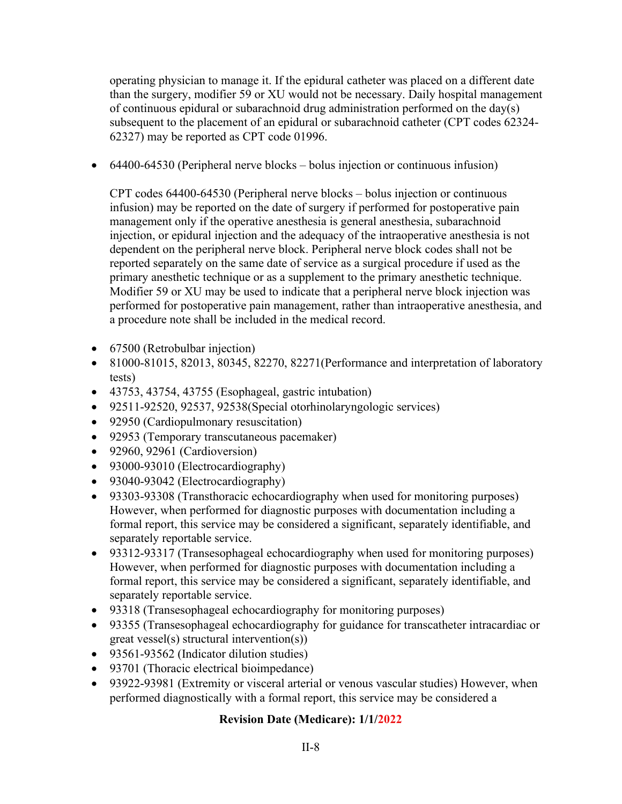operating physician to manage it. If the epidural catheter was placed on a different date than the surgery, modifier 59 or XU would not be necessary. Daily hospital management of continuous epidural or subarachnoid drug administration performed on the day(s) subsequent to the placement of an epidural or subarachnoid catheter (CPT codes 62324- 62327) may be reported as CPT code 01996.

• 64400-64530 (Peripheral nerve blocks – bolus injection or continuous infusion)

CPT codes 64400-64530 (Peripheral nerve blocks – bolus injection or continuous infusion) may be reported on the date of surgery if performed for postoperative pain management only if the operative anesthesia is general anesthesia, subarachnoid injection, or epidural injection and the adequacy of the intraoperative anesthesia is not dependent on the peripheral nerve block. Peripheral nerve block codes shall not be reported separately on the same date of service as a surgical procedure if used as the primary anesthetic technique or as a supplement to the primary anesthetic technique. Modifier 59 or XU may be used to indicate that a peripheral nerve block injection was performed for postoperative pain management, rather than intraoperative anesthesia, and a procedure note shall be included in the medical record.

- 67500 (Retrobulbar injection)
- 81000-81015, 82013, 80345, 82270, 82271 (Performance and interpretation of laboratory tests)
- 43753, 43754, 43755 (Esophageal, gastric intubation)
- 92511-92520, 92537, 92538(Special otorhinolaryngologic services)
- 92950 (Cardiopulmonary resuscitation)
- 92953 (Temporary transcutaneous pacemaker)
- 92960, 92961 (Cardioversion)
- 93000-93010 (Electrocardiography)
- 93040-93042 (Electrocardiography)
- 93303-93308 (Transthoracic echocardiography when used for monitoring purposes) However, when performed for diagnostic purposes with documentation including a formal report, this service may be considered a significant, separately identifiable, and separately reportable service.
- 93312-93317 (Transesophageal echocardiography when used for monitoring purposes) However, when performed for diagnostic purposes with documentation including a formal report, this service may be considered a significant, separately identifiable, and separately reportable service.
- 93318 (Transesophageal echocardiography for monitoring purposes)
- 93355 (Transesophageal echocardiography for guidance for transcatheter intracardiac or great vessel(s) structural intervention(s))
- 93561-93562 (Indicator dilution studies)
- 93701 (Thoracic electrical bioimpedance)
- 93922-93981 (Extremity or visceral arterial or venous vascular studies) However, when performed diagnostically with a formal report, this service may be considered a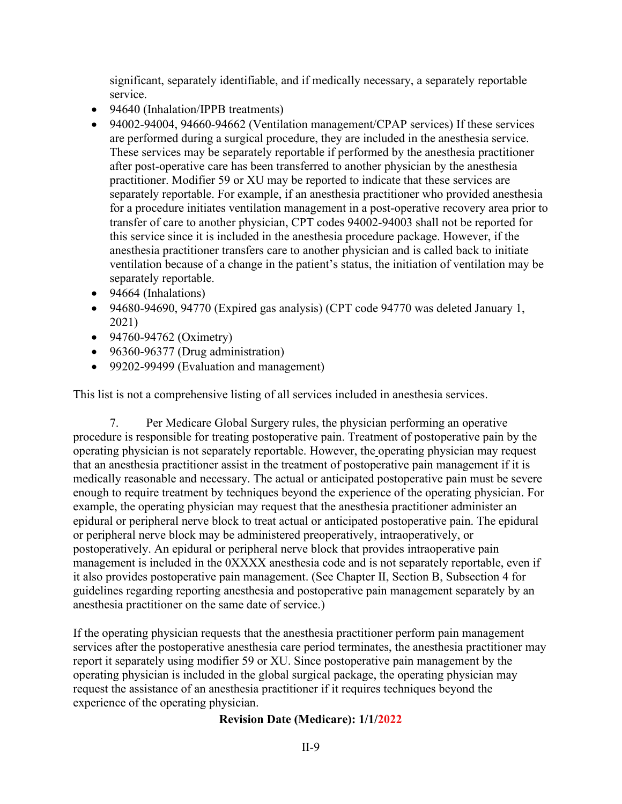significant, separately identifiable, and if medically necessary, a separately reportable service.

- 94640 (Inhalation/IPPB treatments)
- 94002-94004, 94660-94662 (Ventilation management/CPAP services) If these services are performed during a surgical procedure, they are included in the anesthesia service. These services may be separately reportable if performed by the anesthesia practitioner after post-operative care has been transferred to another physician by the anesthesia practitioner. Modifier 59 or XU may be reported to indicate that these services are separately reportable. For example, if an anesthesia practitioner who provided anesthesia for a procedure initiates ventilation management in a post-operative recovery area prior to transfer of care to another physician, CPT codes 94002-94003 shall not be reported for this service since it is included in the anesthesia procedure package. However, if the anesthesia practitioner transfers care to another physician and is called back to initiate ventilation because of a change in the patient's status, the initiation of ventilation may be separately reportable.
- 94664 (Inhalations)
- 94680-94690, 94770 (Expired gas analysis) (CPT code 94770 was deleted January 1, 2021)
- 94760-94762 (Oximetry)
- 96360-96377 (Drug administration)
- 99202-99499 (Evaluation and management)

This list is not a comprehensive listing of all services included in anesthesia services.

7. Per Medicare Global Surgery rules, the physician performing an operative procedure is responsible for treating postoperative pain. Treatment of postoperative pain by the operating physician is not separately reportable. However, the operating physician may request that an anesthesia practitioner assist in the treatment of postoperative pain management if it is medically reasonable and necessary. The actual or anticipated postoperative pain must be severe enough to require treatment by techniques beyond the experience of the operating physician. For example, the operating physician may request that the anesthesia practitioner administer an epidural or peripheral nerve block to treat actual or anticipated postoperative pain. The epidural or peripheral nerve block may be administered preoperatively, intraoperatively, or postoperatively. An epidural or peripheral nerve block that provides intraoperative pain management is included in the 0XXXX anesthesia code and is not separately reportable, even if it also provides postoperative pain management. (See Chapter II, Section B, Subsection 4 for guidelines regarding reporting anesthesia and postoperative pain management separately by an anesthesia practitioner on the same date of service.)

If the operating physician requests that the anesthesia practitioner perform pain management services after the postoperative anesthesia care period terminates, the anesthesia practitioner may report it separately using modifier 59 or XU. Since postoperative pain management by the operating physician is included in the global surgical package, the operating physician may request the assistance of an anesthesia practitioner if it requires techniques beyond the experience of the operating physician.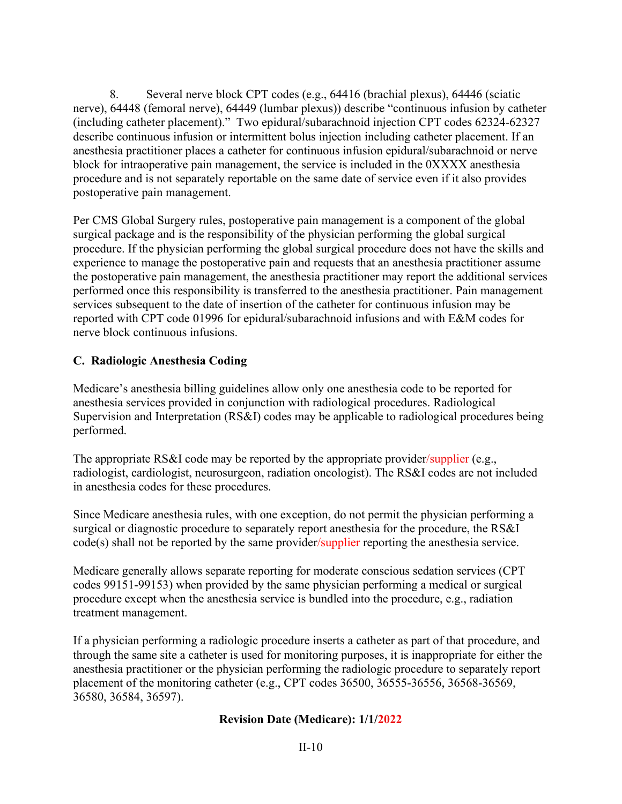8. Several nerve block CPT codes (e.g., 64416 (brachial plexus), 64446 (sciatic nerve), 64448 (femoral nerve), 64449 (lumbar plexus)) describe "continuous infusion by catheter (including catheter placement)." Two epidural/subarachnoid injection CPT codes 62324-62327 describe continuous infusion or intermittent bolus injection including catheter placement. If an anesthesia practitioner places a catheter for continuous infusion epidural/subarachnoid or nerve block for intraoperative pain management, the service is included in the 0XXXX anesthesia procedure and is not separately reportable on the same date of service even if it also provides postoperative pain management.

Per CMS Global Surgery rules, postoperative pain management is a component of the global surgical package and is the responsibility of the physician performing the global surgical procedure. If the physician performing the global surgical procedure does not have the skills and experience to manage the postoperative pain and requests that an anesthesia practitioner assume the postoperative pain management, the anesthesia practitioner may report the additional services performed once this responsibility is transferred to the anesthesia practitioner. Pain management services subsequent to the date of insertion of the catheter for continuous infusion may be reported with CPT code 01996 for epidural/subarachnoid infusions and with E&M codes for nerve block continuous infusions.

## <span id="page-10-0"></span>**C. Radiologic Anesthesia Coding**

Medicare's anesthesia billing guidelines allow only one anesthesia code to be reported for anesthesia services provided in conjunction with radiological procedures. Radiological Supervision and Interpretation (RS&I) codes may be applicable to radiological procedures being performed.

The appropriate RS&I code may be reported by the appropriate provider/supplier (e.g., radiologist, cardiologist, neurosurgeon, radiation oncologist). The RS&I codes are not included in anesthesia codes for these procedures.

Since Medicare anesthesia rules, with one exception, do not permit the physician performing a surgical or diagnostic procedure to separately report anesthesia for the procedure, the RS&I code(s) shall not be reported by the same provider/supplier reporting the anesthesia service.

Medicare generally allows separate reporting for moderate conscious sedation services (CPT codes 99151-99153) when provided by the same physician performing a medical or surgical procedure except when the anesthesia service is bundled into the procedure, e.g., radiation treatment management.

If a physician performing a radiologic procedure inserts a catheter as part of that procedure, and through the same site a catheter is used for monitoring purposes, it is inappropriate for either the anesthesia practitioner or the physician performing the radiologic procedure to separately report placement of the monitoring catheter (e.g., CPT codes 36500, 36555-36556, 36568-36569, 36580, 36584, 36597).

## **Revision Date (Medicare): 1/1/2022**

 $II-10$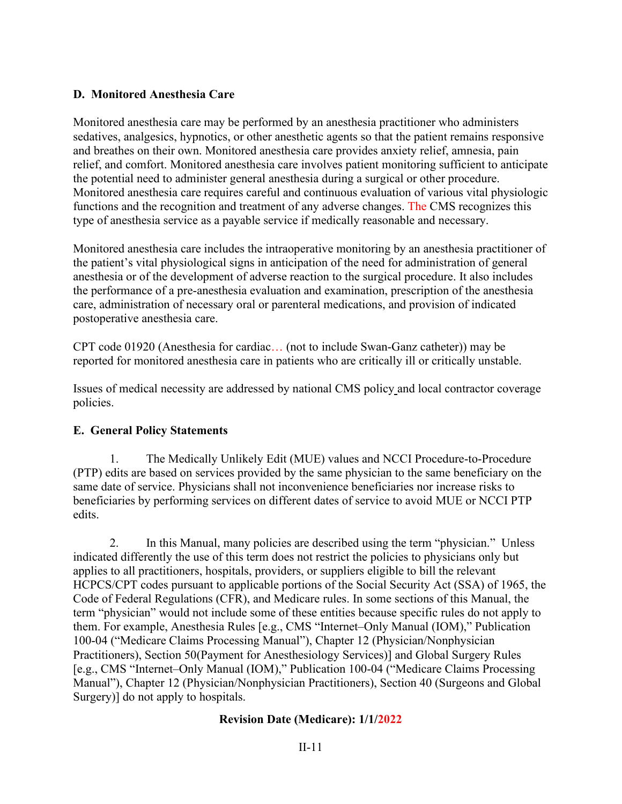## <span id="page-11-0"></span>**D. Monitored Anesthesia Care**

Monitored anesthesia care may be performed by an anesthesia practitioner who administers sedatives, analgesics, hypnotics, or other anesthetic agents so that the patient remains responsive and breathes on their own. Monitored anesthesia care provides anxiety relief, amnesia, pain relief, and comfort. Monitored anesthesia care involves patient monitoring sufficient to anticipate the potential need to administer general anesthesia during a surgical or other procedure. Monitored anesthesia care requires careful and continuous evaluation of various vital physiologic functions and the recognition and treatment of any adverse changes. The CMS recognizes this type of anesthesia service as a payable service if medically reasonable and necessary.

Monitored anesthesia care includes the intraoperative monitoring by an anesthesia practitioner of the patient's vital physiological signs in anticipation of the need for administration of general anesthesia or of the development of adverse reaction to the surgical procedure. It also includes the performance of a pre-anesthesia evaluation and examination, prescription of the anesthesia care, administration of necessary oral or parenteral medications, and provision of indicated postoperative anesthesia care.

CPT code 01920 (Anesthesia for cardiac… (not to include Swan-Ganz catheter)) may be reported for monitored anesthesia care in patients who are critically ill or critically unstable.

Issues of medical necessity are addressed by national CMS policy and local contractor coverage policies.

## <span id="page-11-1"></span>**E. General Policy Statements**

1. The Medically Unlikely Edit (MUE) values and NCCI Procedure-to-Procedure (PTP) edits are based on services provided by the same physician to the same beneficiary on the same date of service. Physicians shall not inconvenience beneficiaries nor increase risks to beneficiaries by performing services on different dates of service to avoid MUE or NCCI PTP edits.

2. In this Manual, many policies are described using the term "physician." Unless indicated differently the use of this term does not restrict the policies to physicians only but applies to all practitioners, hospitals, providers, or suppliers eligible to bill the relevant HCPCS/CPT codes pursuant to applicable portions of the Social Security Act (SSA) of 1965, the Code of Federal Regulations (CFR), and Medicare rules. In some sections of this Manual, the term "physician" would not include some of these entities because specific rules do not apply to them. For example, Anesthesia Rules [e.g., CMS "Internet–Only Manual (IOM)," Publication 100-04 ("Medicare Claims Processing Manual"), Chapter 12 (Physician/Nonphysician Practitioners), Section 50(Payment for Anesthesiology Services)] and Global Surgery Rules [e.g., CMS "Internet–Only Manual (IOM)," Publication 100-04 ("Medicare Claims Processing Manual"), Chapter 12 (Physician/Nonphysician Practitioners), Section 40 (Surgeons and Global Surgery)] do not apply to hospitals.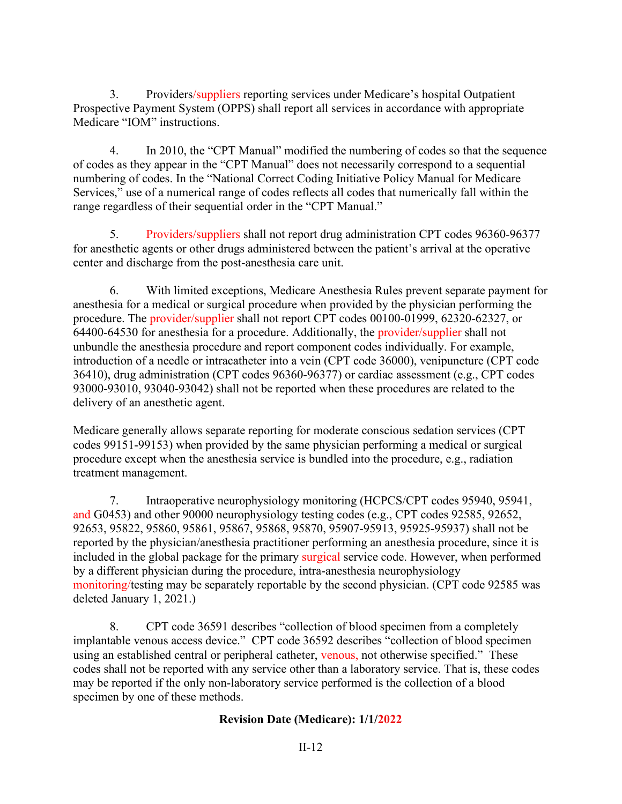3. Providers/suppliers reporting services under Medicare's hospital Outpatient Prospective Payment System (OPPS) shall report all services in accordance with appropriate Medicare "IOM" instructions.

4. In 2010, the "CPT Manual" modified the numbering of codes so that the sequence of codes as they appear in the "CPT Manual" does not necessarily correspond to a sequential numbering of codes. In the "National Correct Coding Initiative Policy Manual for Medicare Services," use of a numerical range of codes reflects all codes that numerically fall within the range regardless of their sequential order in the "CPT Manual."

5. Providers/suppliers shall not report drug administration CPT codes 96360-96377 for anesthetic agents or other drugs administered between the patient's arrival at the operative center and discharge from the post-anesthesia care unit.

6. With limited exceptions, Medicare Anesthesia Rules prevent separate payment for anesthesia for a medical or surgical procedure when provided by the physician performing the procedure. The provider/supplier shall not report CPT codes 00100-01999, 62320-62327, or 64400-64530 for anesthesia for a procedure. Additionally, the provider/supplier shall not unbundle the anesthesia procedure and report component codes individually. For example, introduction of a needle or intracatheter into a vein (CPT code 36000), venipuncture (CPT code 36410), drug administration (CPT codes 96360-96377) or cardiac assessment (e.g., CPT codes 93000-93010, 93040-93042) shall not be reported when these procedures are related to the delivery of an anesthetic agent.

Medicare generally allows separate reporting for moderate conscious sedation services (CPT codes 99151-99153) when provided by the same physician performing a medical or surgical procedure except when the anesthesia service is bundled into the procedure, e.g., radiation treatment management.

7. Intraoperative neurophysiology monitoring (HCPCS/CPT codes 95940, 95941, and G0453) and other 90000 neurophysiology testing codes (e.g., CPT codes 92585, 92652, 92653, 95822, 95860, 95861, 95867, 95868, 95870, 95907-95913, 95925-95937) shall not be reported by the physician/anesthesia practitioner performing an anesthesia procedure, since it is included in the global package for the primary surgical service code. However, when performed by a different physician during the procedure, intra-anesthesia neurophysiology monitoring/testing may be separately reportable by the second physician. (CPT code 92585 was deleted January 1, 2021.)

8. CPT code 36591 describes "collection of blood specimen from a completely implantable venous access device." CPT code 36592 describes "collection of blood specimen using an established central or peripheral catheter, venous, not otherwise specified." These codes shall not be reported with any service other than a laboratory service. That is, these codes may be reported if the only non-laboratory service performed is the collection of a blood specimen by one of these methods.